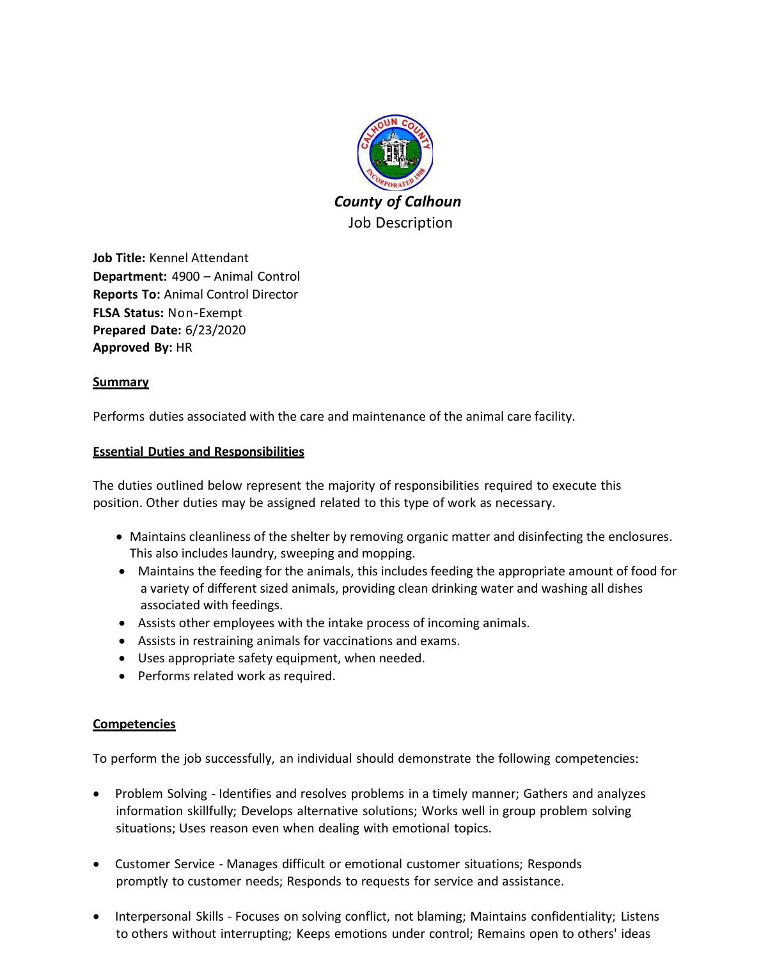

**Job Title:** Kennel Attendant **Department:** 4900 – Animal Control **Reports To:** Animal Control Director **FLSA Status:** Non-Exempt **Prepared Date:** 6/23/2020 **Approved By:** HR

# **Summary**

Performs duties associated with the care and maintenance of the animal care facility.

## **Essential Duties and Responsibilities**

The duties outlined below represent the majority of responsibilities required to execute this position. Other duties may be assigned related to this type of work as necessary.

- Maintains cleanliness of the shelter by removing organic matter and disinfecting the enclosures. This also includes laundry, sweeping and mopping.
- Maintains the feeding for the animals, this includes feeding the appropriate amount of food for a variety of different sized animals, providing clean drinking water and washing all dishes associated with feedings.
- Assists other employees with the intake process of incoming animals.
- Assists in restraining animals for vaccinations and exams.
- Uses appropriate safety equipment, when needed.
- Performs related work as required.

## **Competencies**

To perform the job successfully, an individual should demonstrate the following competencies:

- Problem Solving Identifies and resolves problems in a timely manner; Gathers and analyzes information skillfully; Develops alternative solutions; Works well in group problem solving situations; Uses reason even when dealing with emotional topics.
- Customer Service Manages difficult or emotional customer situations; Responds promptly to customer needs; Responds to requests for service and assistance.
- Interpersonal Skills Focuses on solving conflict, not blaming; Maintains confidentiality; Listens to others without interrupting; Keeps emotions under control; Remains open to others' ideas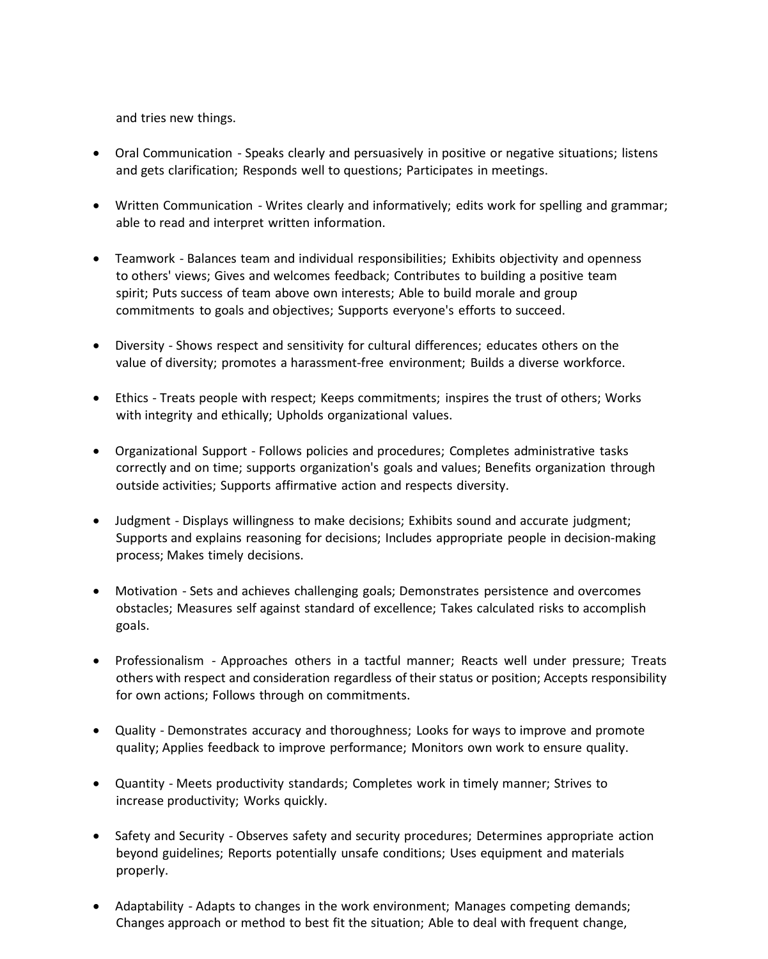and tries new things.

- Oral Communication Speaks clearly and persuasively in positive or negative situations; listens and gets clarification; Responds well to questions; Participates in meetings.
- Written Communication Writes clearly and informatively; edits work for spelling and grammar; able to read and interpret written information.
- Teamwork Balances team and individual responsibilities; Exhibits objectivity and openness to others' views; Gives and welcomes feedback; Contributes to building a positive team spirit; Puts success of team above own interests; Able to build morale and group commitments to goals and objectives; Supports everyone's efforts to succeed.
- Diversity Shows respect and sensitivity for cultural differences; educates others on the value of diversity; promotes a harassment-free environment; Builds a diverse workforce.
- Ethics Treats people with respect; Keeps commitments; inspires the trust of others; Works with integrity and ethically; Upholds organizational values.
- Organizational Support Follows policies and procedures; Completes administrative tasks correctly and on time; supports organization's goals and values; Benefits organization through outside activities; Supports affirmative action and respects diversity.
- Judgment Displays willingness to make decisions; Exhibits sound and accurate judgment; Supports and explains reasoning for decisions; Includes appropriate people in decision-making process; Makes timely decisions.
- Motivation Sets and achieves challenging goals; Demonstrates persistence and overcomes obstacles; Measures self against standard of excellence; Takes calculated risks to accomplish goals.
- Professionalism Approaches others in a tactful manner; Reacts well under pressure; Treats others with respect and consideration regardless of their status or position; Accepts responsibility for own actions; Follows through on commitments.
- Quality Demonstrates accuracy and thoroughness; Looks for ways to improve and promote quality; Applies feedback to improve performance; Monitors own work to ensure quality.
- Quantity Meets productivity standards; Completes work in timely manner; Strives to increase productivity; Works quickly.
- Safety and Security Observes safety and security procedures; Determines appropriate action beyond guidelines; Reports potentially unsafe conditions; Uses equipment and materials properly.
- Adaptability Adapts to changes in the work environment; Manages competing demands; Changes approach or method to best fit the situation; Able to deal with frequent change,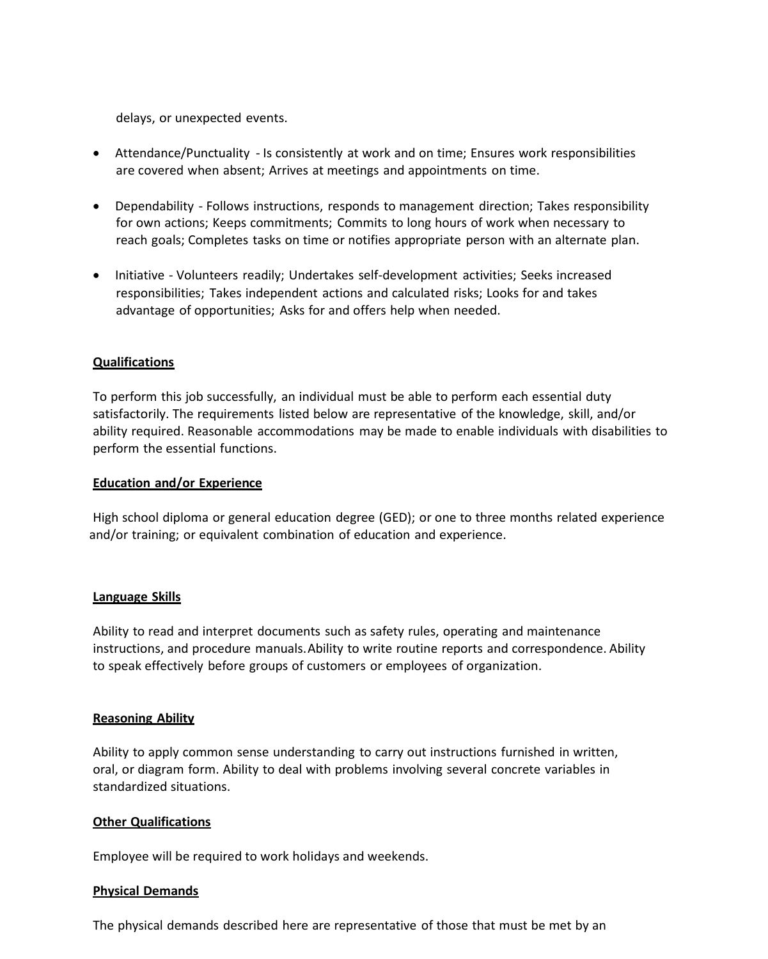delays, or unexpected events.

- Attendance/Punctuality Is consistently at work and on time; Ensures work responsibilities are covered when absent; Arrives at meetings and appointments on time.
- Dependability Follows instructions, responds to management direction; Takes responsibility for own actions; Keeps commitments; Commits to long hours of work when necessary to reach goals; Completes tasks on time or notifies appropriate person with an alternate plan.
- Initiative Volunteers readily; Undertakes self-development activities; Seeks increased responsibilities; Takes independent actions and calculated risks; Looks for and takes advantage of opportunities; Asks for and offers help when needed.

## **Qualifications**

To perform this job successfully, an individual must be able to perform each essential duty satisfactorily. The requirements listed below are representative of the knowledge, skill, and/or ability required. Reasonable accommodations may be made to enable individuals with disabilities to perform the essential functions.

#### **Education and/or Experience**

High school diploma or general education degree (GED); or one to three months related experience and/or training; or equivalent combination of education and experience.

## **Language Skills**

Ability to read and interpret documents such as safety rules, operating and maintenance instructions, and procedure manuals.Ability to write routine reports and correspondence. Ability to speak effectively before groups of customers or employees of organization.

## **Reasoning Ability**

Ability to apply common sense understanding to carry out instructions furnished in written, oral, or diagram form. Ability to deal with problems involving several concrete variables in standardized situations.

## **Other Qualifications**

Employee will be required to work holidays and weekends.

#### **Physical Demands**

The physical demands described here are representative of those that must be met by an